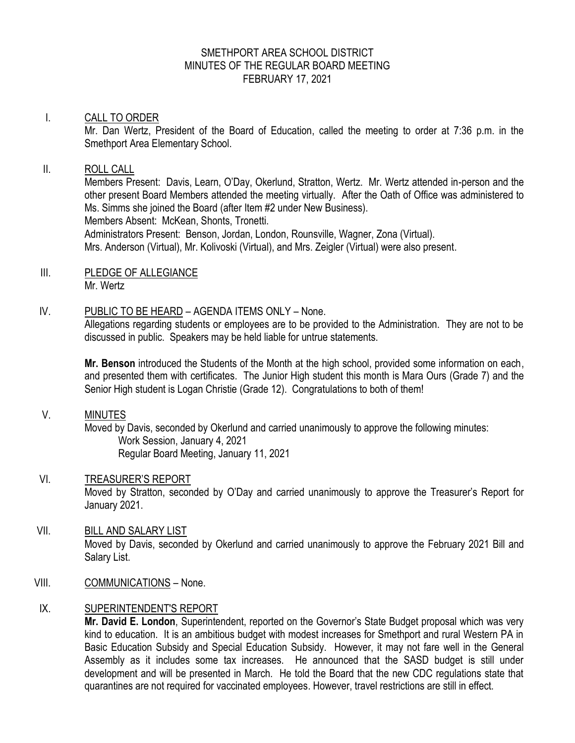## SMETHPORT AREA SCHOOL DISTRICT MINUTES OF THE REGULAR BOARD MEETING FEBRUARY 17, 2021

## I. CALL TO ORDER

Mr. Dan Wertz, President of the Board of Education, called the meeting to order at 7:36 p.m. in the Smethport Area Elementary School.

### II. ROLL CALL

Members Present: Davis, Learn, O'Day, Okerlund, Stratton, Wertz. Mr. Wertz attended in-person and the other present Board Members attended the meeting virtually. After the Oath of Office was administered to Ms. Simms she joined the Board (after Item #2 under New Business).

Members Absent: McKean, Shonts, Tronetti.

Administrators Present: Benson, Jordan, London, Rounsville, Wagner, Zona (Virtual). Mrs. Anderson (Virtual), Mr. Kolivoski (Virtual), and Mrs. Zeigler (Virtual) were also present.

III. PLEDGE OF ALLEGIANCE Mr. Wertz

## IV. PUBLIC TO BE HEARD – AGENDA ITEMS ONLY – None.

Allegations regarding students or employees are to be provided to the Administration. They are not to be discussed in public. Speakers may be held liable for untrue statements.

**Mr. Benson** introduced the Students of the Month at the high school, provided some information on each, and presented them with certificates. The Junior High student this month is Mara Ours (Grade 7) and the Senior High student is Logan Christie (Grade 12). Congratulations to both of them!

V. MINUTES

Moved by Davis, seconded by Okerlund and carried unanimously to approve the following minutes: Work Session, January 4, 2021 Regular Board Meeting, January 11, 2021

VI. TREASURER'S REPORT Moved by Stratton, seconded by O'Day and carried unanimously to approve the Treasurer's Report for January 2021.

## VII. BILL AND SALARY LIST Moved by Davis, seconded by Okerlund and carried unanimously to approve the February 2021 Bill and Salary List.

VIII. COMMUNICATIONS – None.

## IX. SUPERINTENDENT'S REPORT

**Mr. David E. London**, Superintendent, reported on the Governor's State Budget proposal which was very kind to education. It is an ambitious budget with modest increases for Smethport and rural Western PA in Basic Education Subsidy and Special Education Subsidy. However, it may not fare well in the General Assembly as it includes some tax increases. He announced that the SASD budget is still under development and will be presented in March. He told the Board that the new CDC regulations state that quarantines are not required for vaccinated employees. However, travel restrictions are still in effect.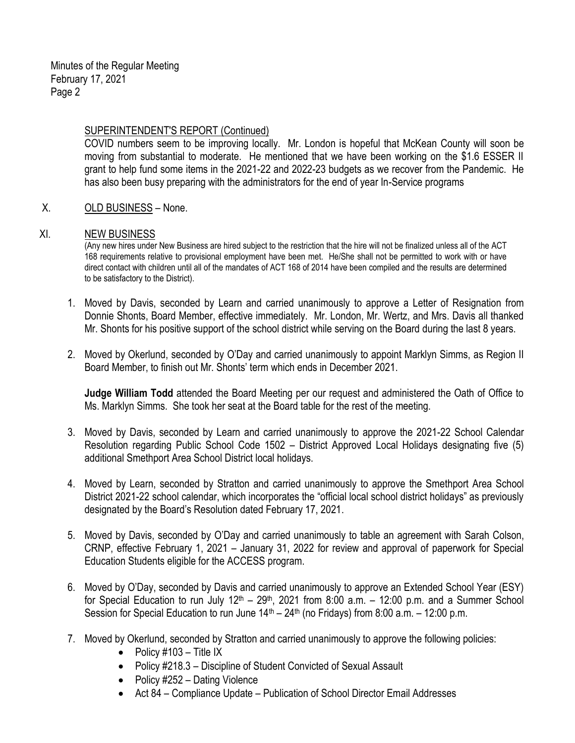### SUPERINTENDENT'S REPORT (Continued)

COVID numbers seem to be improving locally. Mr. London is hopeful that McKean County will soon be moving from substantial to moderate. He mentioned that we have been working on the \$1.6 ESSER II grant to help fund some items in the 2021-22 and 2022-23 budgets as we recover from the Pandemic. He has also been busy preparing with the administrators for the end of year In-Service programs

## X. OLD BUSINESS – None.

#### XI. NEW BUSINESS

(Any new hires under New Business are hired subject to the restriction that the hire will not be finalized unless all of the ACT 168 requirements relative to provisional employment have been met. He/She shall not be permitted to work with or have direct contact with children until all of the mandates of ACT 168 of 2014 have been compiled and the results are determined to be satisfactory to the District).

- 1. Moved by Davis, seconded by Learn and carried unanimously to approve a Letter of Resignation from Donnie Shonts, Board Member, effective immediately. Mr. London, Mr. Wertz, and Mrs. Davis all thanked Mr. Shonts for his positive support of the school district while serving on the Board during the last 8 years.
- 2. Moved by Okerlund, seconded by O'Day and carried unanimously to appoint Marklyn Simms, as Region II Board Member, to finish out Mr. Shonts' term which ends in December 2021.

**Judge William Todd** attended the Board Meeting per our request and administered the Oath of Office to Ms. Marklyn Simms. She took her seat at the Board table for the rest of the meeting.

- 3. Moved by Davis, seconded by Learn and carried unanimously to approve the 2021-22 School Calendar Resolution regarding Public School Code 1502 – District Approved Local Holidays designating five (5) additional Smethport Area School District local holidays.
- 4. Moved by Learn, seconded by Stratton and carried unanimously to approve the Smethport Area School District 2021-22 school calendar, which incorporates the "official local school district holidays" as previously designated by the Board's Resolution dated February 17, 2021.
- 5. Moved by Davis, seconded by O'Day and carried unanimously to table an agreement with Sarah Colson, CRNP, effective February 1, 2021 – January 31, 2022 for review and approval of paperwork for Special Education Students eligible for the ACCESS program.
- 6. Moved by O'Day, seconded by Davis and carried unanimously to approve an Extended School Year (ESY) for Special Education to run July  $12<sup>th</sup> - 29<sup>th</sup>$ , 2021 from 8:00 a.m.  $-$  12:00 p.m. and a Summer School Session for Special Education to run June  $14<sup>th</sup> - 24<sup>th</sup>$  (no Fridays) from 8:00 a.m.  $- 12:00$  p.m.
- 7. Moved by Okerlund, seconded by Stratton and carried unanimously to approve the following policies:
	- Policy  $\#103 -$  Title IX
	- Policy #218.3 Discipline of Student Convicted of Sexual Assault
	- Policy  $\#252 -$  Dating Violence
	- Act 84 Compliance Update Publication of School Director Email Addresses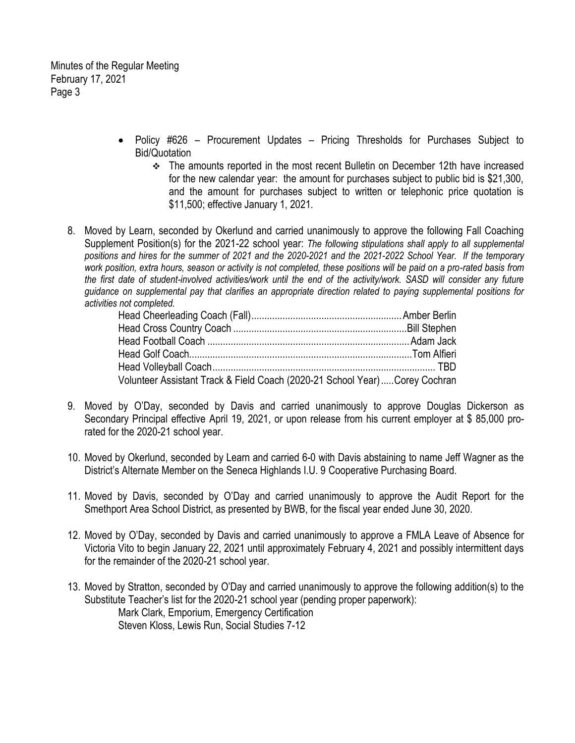Minutes of the Regular Meeting February 17, 2021 Page 3

- Policy #626 Procurement Updates Pricing Thresholds for Purchases Subject to Bid/Quotation
	- The amounts reported in the most recent Bulletin on December 12th have increased for the new calendar year: the amount for purchases subject to public bid is \$21,300, and the amount for purchases subject to written or telephonic price quotation is \$11,500; effective January 1, 2021.
- 8. Moved by Learn, seconded by Okerlund and carried unanimously to approve the following Fall Coaching Supplement Position(s) for the 2021-22 school year: *The following stipulations shall apply to all supplemental positions and hires for the summer of 2021 and the 2020-2021 and the 2021-2022 School Year. If the temporary work position, extra hours, season or activity is not completed, these positions will be paid on a pro-rated basis from the first date of student-involved activities/work until the end of the activity/work. SASD will consider any future guidance on supplemental pay that clarifies an appropriate direction related to paying supplemental positions for activities not completed.*

| Volunteer Assistant Track & Field Coach (2020-21 School Year)Corey Cochran |  |
|----------------------------------------------------------------------------|--|

- 9. Moved by O'Day, seconded by Davis and carried unanimously to approve Douglas Dickerson as Secondary Principal effective April 19, 2021, or upon release from his current employer at \$ 85,000 prorated for the 2020-21 school year.
- 10. Moved by Okerlund, seconded by Learn and carried 6-0 with Davis abstaining to name Jeff Wagner as the District's Alternate Member on the Seneca Highlands I.U. 9 Cooperative Purchasing Board.
- 11. Moved by Davis, seconded by O'Day and carried unanimously to approve the Audit Report for the Smethport Area School District, as presented by BWB, for the fiscal year ended June 30, 2020.
- 12. Moved by O'Day, seconded by Davis and carried unanimously to approve a FMLA Leave of Absence for Victoria Vito to begin January 22, 2021 until approximately February 4, 2021 and possibly intermittent days for the remainder of the 2020-21 school year.
- 13. Moved by Stratton, seconded by O'Day and carried unanimously to approve the following addition(s) to the Substitute Teacher's list for the 2020-21 school year (pending proper paperwork): Mark Clark, Emporium, Emergency Certification Steven Kloss, Lewis Run, Social Studies 7-12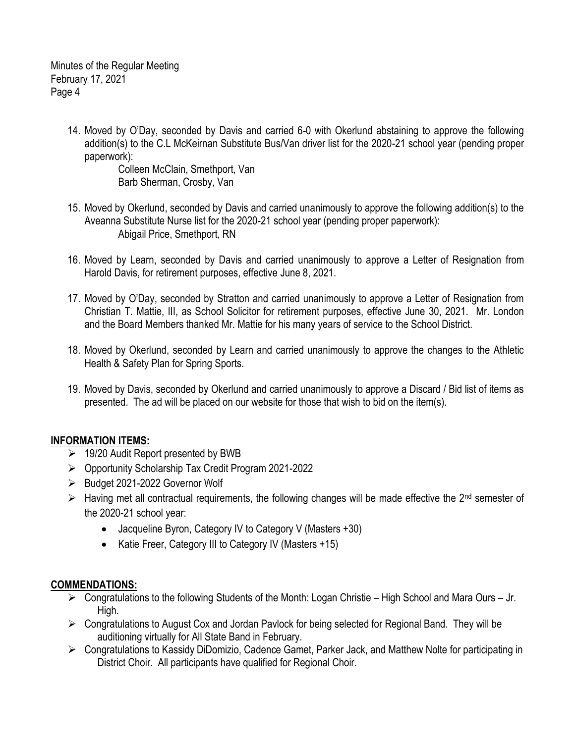Minutes of the Regular Meeting February 17, 2021 Page 4

> 14. Moved by O'Day, seconded by Davis and carried 6-0 with Okerlund abstaining to approve the following addition(s) to the C.L McKeirnan Substitute Bus/Van driver list for the 2020-21 school year (pending proper paperwork):

Colleen McClain, Smethport, Van Barb Sherman, Crosby, Van

- 15. Moved by Okerlund, seconded by Davis and carried unanimously to approve the following addition(s) to the Aveanna Substitute Nurse list for the 2020-21 school year (pending proper paperwork): Abigail Price, Smethport, RN
- 16. Moved by Learn, seconded by Davis and carried unanimously to approve a Letter of Resignation from Harold Davis, for retirement purposes, effective June 8, 2021.
- 17. Moved by O'Day, seconded by Stratton and carried unanimously to approve a Letter of Resignation from Christian T. Mattie, III, as School Solicitor for retirement purposes, effective June 30, 2021. Mr. London and the Board Members thanked Mr. Mattie for his many years of service to the School District.
- 18. Moved by Okerlund, seconded by Learn and carried unanimously to approve the changes to the Athletic Health & Safety Plan for Spring Sports.
- 19. Moved by Davis, seconded by Okerlund and carried unanimously to approve a Discard / Bid list of items as presented. The ad will be placed on our website for those that wish to bid on the item(s).

# **INFORMATION ITEMS:**

- $\geq$  19/20 Audit Report presented by BWB
- Opportunity Scholarship Tax Credit Program 2021-2022
- ▶ Budget 2021-2022 Governor Wolf
- $\triangleright$  Having met all contractual requirements, the following changes will be made effective the 2<sup>nd</sup> semester of the 2020-21 school year:
	- Jacqueline Byron, Category IV to Category V (Masters +30)
	- Katie Freer, Category III to Category IV (Masters +15)

## **COMMENDATIONS:**

- $\triangleright$  Congratulations to the following Students of the Month: Logan Christie High School and Mara Ours Jr. High.
- $\triangleright$  Congratulations to August Cox and Jordan Pavlock for being selected for Regional Band. They will be auditioning virtually for All State Band in February.
- Congratulations to Kassidy DiDomizio, Cadence Gamet, Parker Jack, and Matthew Nolte for participating in District Choir. All participants have qualified for Regional Choir.